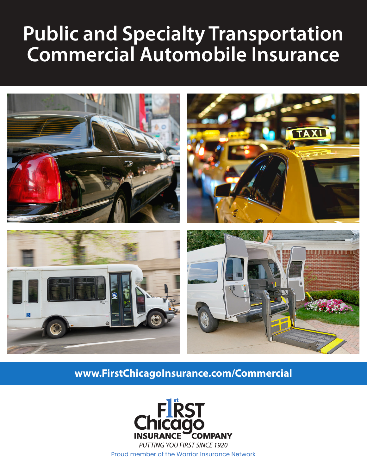# **Public and Specialty Transportation Commercial Automobile Insurance**



## www.FirstChicagoInsurance.com/Commercial



**PUTTING YOU FIRST SINCE 1920** Proud member of the Warrior Insurance Network